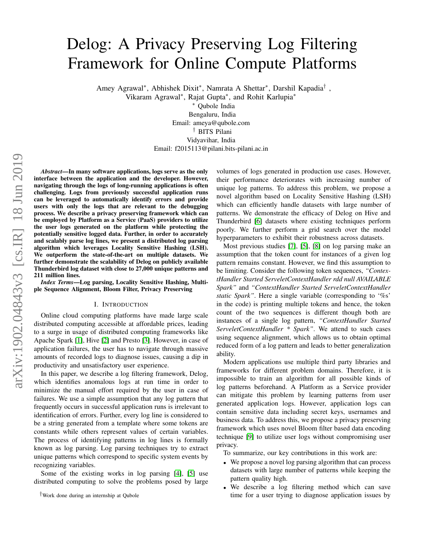# Delog: A Privacy Preserving Log Filtering Framework for Online Compute Platforms

Amey Agrawal<sup>∗</sup> , Abhishek Dixit<sup>∗</sup> , Namrata A Shettar<sup>∗</sup> , Darshil Kapadia† ,

Vikaram Agrawal<sup>∗</sup> , Rajat Gupta<sup>∗</sup> , and Rohit Karlupia<sup>∗</sup>

Qubole India Bengaluru, India Email: ameya@qubole.com † BITS Pilani Vidyavihar, India Email: f2015113@pilani.bits-pilani.ac.in

*Abstract*—In many software applications, logs serve as the only interface between the application and the developer. However, navigating through the logs of long-running applications is often challenging. Logs from previously successful application runs can be leveraged to automatically identify errors and provide users with only the logs that are relevant to the debugging process. We describe a privacy preserving framework which can be employed by Platform as a Service (PaaS) providers to utilize the user logs generated on the platform while protecting the potentially sensitive logged data. Further, in order to accurately and scalably parse log lines, we present a distributed log parsing algorithm which leverages Locality Sensitive Hashing (LSH). We outperform the state-of-the-art on multiple datasets. We further demonstrate the scalability of Delog on publicly available Thunderbird log dataset with close to 27,000 unique patterns and 211 million lines.

*Index Terms*—Log parsing, Locality Sensitive Hashing, Multiple Sequence Alignment, Bloom Filter, Privacy Preserving

## I. INTRODUCTION

Online cloud computing platforms have made large scale distributed computing accessible at affordable prices, leading to a surge in usage of distributed computing frameworks like Apache Spark [\[1\]](#page-9-0), Hive [\[2\]](#page-9-1) and Presto [\[3\]](#page-9-2). However, in case of application failures, the user has to navigate through massive amounts of recorded logs to diagnose issues, causing a dip in productivity and unsatisfactory user experience.

In this paper, we describe a log filtering framework, Delog, which identifies anomalous logs at run time in order to minimize the manual effort required by the user in case of failures. We use a simple assumption that any log pattern that frequently occurs in successful application runs is irrelevant to identification of errors. Further, every log line is considered to be a string generated from a template where some tokens are constants while others represent values of certain variables. The process of identifying patterns in log lines is formally known as log parsing. Log parsing techniques try to extract unique patterns which correspond to specific system events by recognizing variables.

Some of the existing works in log parsing [\[4\]](#page-9-3), [\[5\]](#page-9-4) use distributed computing to solve the problems posed by large volumes of logs generated in production use cases. However, their performance deteriorates with increasing number of unique log patterns. To address this problem, we propose a novel algorithm based on Locality Sensitive Hashing (LSH) which can efficiently handle datasets with large number of patterns. We demonstrate the efficacy of Delog on Hive and Thunderbird [\[6\]](#page-9-5) datasets where existing techniques perform poorly. We further perform a grid search over the model hyperparameters to exhibit their robustness across datasets.

Most previous studies [\[7\]](#page-9-6), [\[5\]](#page-9-4), [\[8\]](#page-9-7) on log parsing make an assumption that the token count for instances of a given log pattern remains constant. However, we find this assumption to be limiting. Consider the following token sequences, *"ContextHandler Started ServeletContextHandler rdd null AVAILABLE Spark"* and *"ContextHandler Started ServeletContextHandler static Spark"*. Here a single variable (corresponding to '%s') in the code) is printing multiple tokens and hence, the token count of the two sequences is different though both are instances of a single log pattern, *"ContextHandler Started ServeletContextHandler \* Spark"*. We attend to such cases using sequence alignment, which allows us to obtain optimal reduced form of a log pattern and leads to better generalization ability.

Modern applications use multiple third party libraries and frameworks for different problem domains. Therefore, it is impossible to train an algorithm for all possible kinds of log patterns beforehand. A Platform as a Service provider can mitigate this problem by learning patterns from user generated application logs. However, application logs can contain sensitive data including secret keys, usernames and business data. To address this, we propose a privacy preserving framework which uses novel Bloom filter based data encoding technique [\[9\]](#page-9-8) to utilize user logs without compromising user privacy.

To summarize, our key contributions in this work are:

- We propose a novel log parsing algorithm that can process datasets with large number of patterns while keeping the pattern quality high.
- We describe a log filtering method which can save time for a user trying to diagnose application issues by

<sup>†</sup>Work done during an internship at Qubole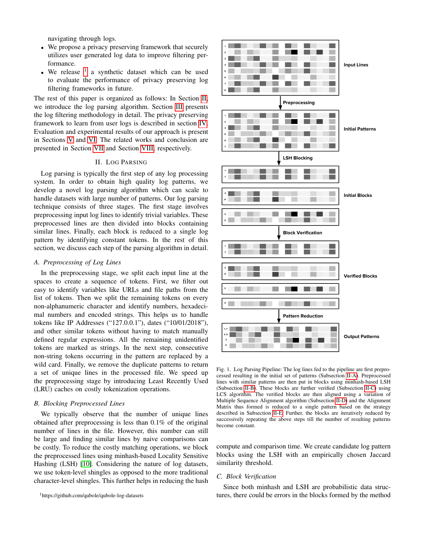navigating through logs.

- We propose a privacy preserving framework that securely utilizes user generated log data to improve filtering performance.
- $\bullet$  We release  $\frac{1}{1}$  $\frac{1}{1}$  $\frac{1}{1}$  a synthetic dataset which can be used to evaluate the performance of privacy preserving log filtering frameworks in future.

The rest of this paper is organized as follows: In Section [II,](#page-1-1) we introduce the log parsing algorithm. Section [III](#page-2-0) presents the log filtering methodology in detail. The privacy preserving framework to learn from user logs is described in section [IV.](#page-3-0) Evaluation and experimental results of our approach is present in Sections [V](#page-4-0) and [VI.](#page-7-0) The related works and conclusion are presented in Section [VII](#page-8-0) and Section [VIII,](#page-8-1) respectively.

# II. LOG PARSING

<span id="page-1-1"></span>Log parsing is typically the first step of any log processing system. In order to obtain high quality log patterns, we develop a novel log parsing algorithm which can scale to handle datasets with large number of patterns. Our log parsing technique consists of three stages. The first stage involves preprocessing input log lines to identify trivial variables. These preprocessed lines are then divided into blocks containing similar lines. Finally, each block is reduced to a single log pattern by identifying constant tokens. In the rest of this section, we discuss each step of the parsing algorithm in detail.

# <span id="page-1-2"></span>*A. Preprocessing of Log Lines*

In the preprocessing stage, we split each input line at the spaces to create a sequence of tokens. First, we filter out easy to identify variables like URLs and file paths from the list of tokens. Then we split the remaining tokens on every non-alphanumeric character and identify numbers, hexadecimal numbers and encoded strings. This helps us to handle tokens like IP Addresses ("127.0.0.1"), dates ("10/01/2018"), and other similar tokens without having to match manually defined regular expressions. All the remaining unidentified tokens are marked as strings. In the next step, consecutive non-string tokens occurring in the pattern are replaced by a wild card. Finally, we remove the duplicate patterns to return a set of unique lines in the processed file. We speed up the preprocessing stage by introducing Least Recently Used (LRU) caches on costly tokenization operations.

#### <span id="page-1-3"></span>*B. Blocking Preprocessed Lines*

We typically observe that the number of unique lines obtained after preprocessing is less than 0.1% of the original number of lines in the file. However, this number can still be large and finding similar lines by naive comparisons can be costly. To reduce the costly matching operations, we block the preprocessed lines using minhash-based Locality Sensitive Hashing (LSH) [\[10\]](#page-9-9). Considering the nature of log datasets, we use token-level shingles as opposed to the more traditional character-level shingles. This further helps in reducing the hash

<span id="page-1-0"></span><sup>1</sup>https://github.com/qubole/qubole-log-datasets



Fig. 1. Log Parsing Pipeline: The log lines fed to the pipeline are first preprocessed resulting in the initial set of patterns (Subsection [II-A\)](#page-1-2). Preprocessed lines with similar patterns are then put in blocks using minhash-based LSH (Subsection [II-B\)](#page-1-3). These blocks are further verified (Subsection [II-C\)](#page-1-4) using LCS algorithm. The verified blocks are then aligned using a variation of Multiple Sequence Alignment algorithm (Subsection [II-D\)](#page-2-1) and the Alignment Matrix thus formed is reduced to a single pattern based on the strategy described in Subsection [II-E.](#page-2-2) Further, the blocks are iteratively reduced by successively repeating the above steps till the number of resulting patterns become constant.

compute and comparison time. We create candidate log pattern blocks using the LSH with an empirically chosen Jaccard similarity threshold.

# <span id="page-1-4"></span>*C. Block Verification*

Since both minhash and LSH are probabilistic data structures, there could be errors in the blocks formed by the method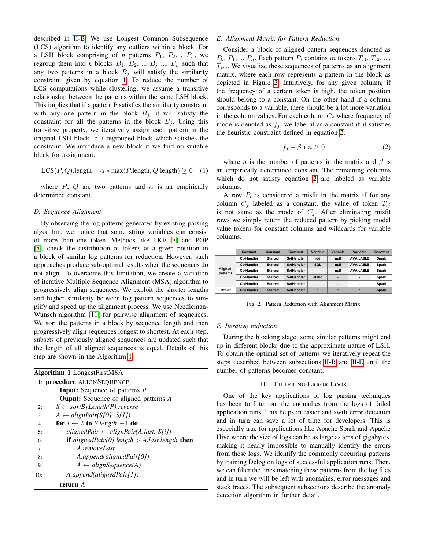described in [II-B.](#page-1-3) We use Longest Common Subsequence (LCS) algorithm to identify any outliers within a block. For a LSH block comprising of *n* patterns  $P_1$ ,  $P_2$ ...,  $P_n$ , we regroup them into *k* blocks  $B_1$ ,  $B_2$ , ...  $B_j$  ....  $B_k$  such that any two patterns in a block  $B_j$  will satisfy the similarity constraint given by equation [1.](#page-2-3) To reduce the number of LCS computations while clustering, we assume a transitive relationship between the patterns within the same LSH block. This implies that if a pattern P satisfies the similarity constraint with any one pattern in the block  $B_j$ , it will satisfy the constraint for all the patterns in the block  $B_j$ . Using this transitive property, we iteratively assign each pattern in the original LSH block to a regrouped block which satisfies the constraint. We introduce a new block if we find no suitable block for assignment.

<span id="page-2-3"></span>
$$
LCS(P, Q).length - \alpha * max(P.length, Q.length) \ge 0 \quad (1)
$$

where P, Q are two patterns and  $\alpha$  is an empirically determined constant.

## <span id="page-2-1"></span>*D. Sequence Alignment*

By observing the log patterns generated by existing parsing algorithm, we notice that some string variables can consist of more than one token. Methods like LKE [\[7\]](#page-9-6) and POP [\[5\]](#page-9-4), check the distribution of tokens at a given position in a block of similar log patterns for reduction. However, such approaches produce sub-optimal results when the sequences do not align. To overcome this limitation, we create a variation of iterative Multiple Sequence Alignment (MSA) algorithm to progressively align sequences. We exploit the shorter lengths and higher similarity between log pattern sequences to simplify and speed up the alignment process. We use Needleman-Wunsch algorithm [\[11\]](#page-9-10) for pairwise alignment of sequences. We sort the patterns in a block by sequence length and then progressively align sequences longest to shortest. At each step, subsets of previously aligned sequences are updated such that the length of all aligned sequences is equal. Details of this step are shown in the Algorithm [1.](#page-2-4)

<span id="page-2-4"></span>

|     | <b>Algorithm 1 LongestFirstMSA</b>                          |
|-----|-------------------------------------------------------------|
|     | 1: procedure ALIGNSEQUENCE                                  |
|     | <b>Input:</b> Sequence of patterns P                        |
|     | <b>Ouput:</b> Sequence of aligned patterns A                |
| 2:  | $S \leftarrow sortByLength(P).reverse$                      |
| 3:  | $A \leftarrow alignPair(S[0], S[1])$                        |
| 4:  | for $i \leftarrow 2$ to <i>S.length</i> -1 do               |
| 5:  | alignedPair $\leftarrow$ alignPair(A.last, S[i])            |
| 6:  | <b>if</b> alignedPair[0].length > A.last.length <b>then</b> |
| 7:  | A.removeLast                                                |
| 8:  | A.append(alignedPair[0])                                    |
| 9:  | $A \leftarrow alignSequence(A)$                             |
| 10: | A.append(alignedPair[1])                                    |
|     | return A                                                    |

## <span id="page-2-2"></span>*E. Alignment Matrix for Pattern Reduction*

Consider a block of aligned pattern sequences denoted as  $P_0$ ,  $P_1$ , ...  $P_n$ . Each pattern  $P_i$  contains m tokens  $T_{i1}$ ,  $T_{i2}$ , ...,  $T_{im}$ . We visualize these sequences of patterns as an alignment matrix, where each row represents a pattern in the block as depicted in Figure [2.](#page-2-5) Intuitively, for any given column, if the frequency of a certain token is high, the token position should belong to a constant. On the other hand if a column corresponds to a variable, there should be a lot more variation in the column values. For each column  $C_j$  where frequency of mode is denoted as  $f_j$ , we label it as a constant if it satisfies the heuristic constraint defined in equation [2.](#page-2-6)

$$
f_j - \beta * n \ge 0 \tag{2}
$$

<span id="page-2-6"></span>where *n* is the number of patterns in the matrix and  $\beta$  is an empirically determined constant. The remaining columns which do not satisfy equation [2](#page-2-6) are labeled as variable columns.

A row  $P_i$  is considered a misfit in the matrix if for any column  $C_j$  labeled as a constant, the value of token  $T_{ij}$ is not same as the mode of  $C_j$ . After eliminating misfit rows we simply return the reduced pattern by picking modal value tokens for constant columns and wildcards for variable columns.

|                     | <b>Constant</b>   | Constant       | Constant          | <b>Variable</b>          | Variable                 | <b>Variable</b>  | Constant     |
|---------------------|-------------------|----------------|-------------------|--------------------------|--------------------------|------------------|--------------|
|                     | <b>CtxHandler</b> | <b>Started</b> | <b>SytHandler</b> | rdd                      | null                     | <b>AVAILABLE</b> | <b>Spark</b> |
|                     | <b>CtxHandler</b> | <b>Started</b> | <b>SytHandler</b> | SQL                      | null                     | <b>AVAILABLE</b> | Spark        |
| Aligned<br>patterns | <b>CtxHandler</b> | <b>Started</b> | <b>SytHandler</b> | $\overline{\phantom{a}}$ | null                     | <b>AVAILABLE</b> | <b>Spark</b> |
|                     | <b>CtxHandler</b> | <b>Started</b> | <b>SytHandler</b> | static                   | $\overline{\phantom{a}}$ | -                | Spark        |
|                     | <b>CtxHandler</b> | <b>Started</b> | <b>SytHandler</b> | $\overline{\phantom{a}}$ | $\overline{\phantom{a}}$ | ۰                | Spark        |
| Result              | <b>CtxHandler</b> | <b>Started</b> | <b>SytHandler</b> |                          |                          |                  | <b>Spark</b> |

<span id="page-2-5"></span>Fig. 2. Pattern Reduction with Alignment Matrix

# *F. Iterative reduction*

During the blocking stage, some similar patterns might end up in different blocks due to the approximate nature of LSH. To obtain the optimal set of patterns we iteratively repeat the steps described between subsections [II-B](#page-1-3) and [II-E](#page-2-2) until the number of patterns becomes constant.

#### III. FILTERING ERROR LOGS

<span id="page-2-0"></span>One of the key applications of log parsing techniques has been to filter out the anomalies from the logs of failed application runs. This helps in easier and swift error detection and in turn can save a lot of time for developers. This is especially true for applications like Apache Spark and Apache Hive where the size of logs can be as large as tens of gigabytes, making it nearly impossible to manually identify the errors from these logs. We identify the commonly occurring patterns by training Delog on logs of successful application runs. Then, we can filter the lines matching these patterns from the log files and in turn we will be left with anomalies, error messages and stack traces. The subsequent subsections describe the anomaly detection algorithm in further detail.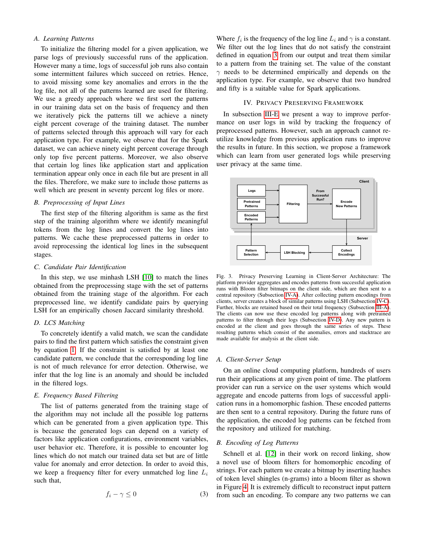# <span id="page-3-4"></span>*A. Learning Patterns*

To initialize the filtering model for a given application, we parse logs of previously successful runs of the application. However many a time, logs of successful job runs also contain some intermittent failures which succeed on retries. Hence, to avoid missing some key anomalies and errors in the the log file, not all of the patterns learned are used for filtering. We use a greedy approach where we first sort the patterns in our training data set on the basis of frequency and then we iteratively pick the patterns till we achieve a ninety eight percent coverage of the training dataset. The number of patterns selected through this approach will vary for each application type. For example, we observe that for the Spark dataset, we can achieve ninety eight percent coverage through only top five percent patterns. Moreover, we also observe that certain log lines like application start and application termination appear only once in each file but are present in all the files. Therefore, we make sure to include those patterns as well which are present in seventy percent log files or more.

# <span id="page-3-5"></span>*B. Preprocessing of Input Lines*

The first step of the filtering algorithm is same as the first step of the training algorithm where we identify meaningful tokens from the log lines and convert the log lines into patterns. We cache these preprocessed patterns in order to avoid reprocessing the identical log lines in the subsequent stages.

# <span id="page-3-6"></span>*C. Candidate Pair Identification*

In this step, we use minhash LSH [\[10\]](#page-9-9) to match the lines obtained from the preprocessing stage with the set of patterns obtained from the training stage of the algorithm. For each preprocessed line, we identify candidate pairs by querying LSH for an empirically chosen Jaccard similarity threshold.

## <span id="page-3-7"></span>*D. LCS Matching*

To concretely identify a valid match, we scan the candidate pairs to find the first pattern which satisfies the constraint given by equation [1.](#page-2-3) If the constraint is satisfied by at least one candidate pattern, we conclude that the corresponding log line is not of much relevance for error detection. Otherwise, we infer that the log line is an anomaly and should be included in the filtered logs.

#### <span id="page-3-2"></span>*E. Frequency Based Filtering*

The list of patterns generated from the training stage of the algorithm may not include all the possible log patterns which can be generated from a given application type. This is because the generated logs can depend on a variety of factors like application configurations, environment variables, user behavior etc. Therefore, it is possible to encounter log lines which do not match our trained data set but are of little value for anomaly and error detection. In order to avoid this, we keep a frequency filter for every unmatched log line  $L_i$ such that,

<span id="page-3-1"></span>
$$
f_i - \gamma \le 0 \tag{3}
$$

Where  $f_i$  is the frequency of the log line  $L_i$  and  $\gamma$  is a constant. We filter out the log lines that do not satisfy the constraint defined in equation [3](#page-3-1) from our output and treat them similar to a pattern from the training set. The value of the constant  $\gamma$  needs to be determined empirically and depends on the application type. For example, we observe that two hundred and fifty is a suitable value for Spark applications.

# IV. PRIVACY PRESERVING FRAMEWORK

<span id="page-3-0"></span>In subsection [III-E](#page-3-2) we present a way to improve performance on user logs in wild by tracking the frequency of preprocessed patterns. However, such an approach cannot reutilize knowledge from previous application runs to improve the results in future. In this section, we propose a framework which can learn from user generated logs while preserving user privacy at the same time.



Fig. 3. Privacy Preserving Learning in Client-Server Architecture: The platform provider aggregates and encodes patterns from successful application runs with Bloom filter bitmaps on the client side, which are then sent to a central repository (Subsection [IV-A\)](#page-3-3). After collecting pattern encodings from clients, server creates a block of similar patterns using LSH (Subsection [IV-C\)](#page-4-1). Further, blocks are retained based on their total frequency (Subsection [III-A\)](#page-3-4). The clients can now use these encoded log patterns along with pretrained patterns to filter through their logs (Subsection [IV-D\)](#page-4-2). Any new pattern is encoded at the client and goes through the same series of steps. These resulting patterns which consist of the anomalies, errors and stacktrace are made available for analysis at the client side.

#### <span id="page-3-3"></span>*A. Client-Server Setup*

On an online cloud computing platform, hundreds of users run their applications at any given point of time. The platform provider can run a service on the user systems which would aggregate and encode patterns from logs of successful application runs in a homomorphic fashion. These encoded patterns are then sent to a central repository. During the future runs of the application, the encoded log patterns can be fetched from the repository and utilized for matching.

# *B. Encoding of Log Patterns*

Schnell et al. [\[12\]](#page-9-11) in their work on record linking, show a novel use of bloom filters for homomorphic encoding of strings. For each pattern we create a bitmap by inserting hashes of token level shingles (n-grams) into a bloom filter as shown in Figure [4.](#page-4-3) It is extremely difficult to reconstruct input pattern from such an encoding. To compare any two patterns we can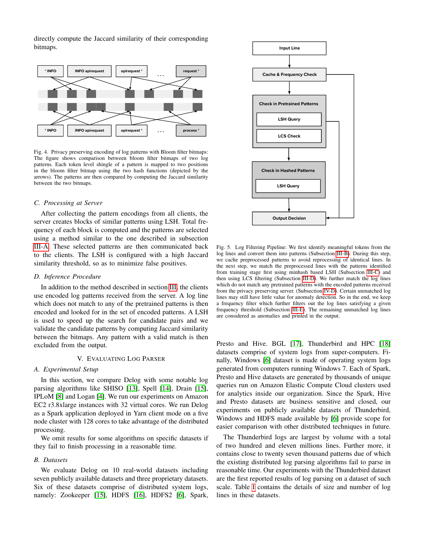directly compute the Jaccard similarity of their corresponding bitmaps.



<span id="page-4-3"></span>Fig. 4. Privacy preserving encoding of log patterns with Bloom filter bitmaps: The figure shows comparison between bloom filter bitmaps of two log patterns. Each token level shingle of a pattern is mapped to two positions in the bloom filter bitmap using the two hash functions (depicted by the arrows). The patterns are then compared by computing the Jaccard similarity between the two bitmaps.

# <span id="page-4-1"></span>*C. Processing at Server*

After collecting the pattern encodings from all clients, the server creates blocks of similar patterns using LSH. Total frequency of each block is computed and the patterns are selected using a method similar to the one described in subsection [III-A.](#page-3-4) These selected patterns are then communicated back to the clients. The LSH is configured with a high Jaccard similarity threshold, so as to minimize false positives.

#### <span id="page-4-2"></span>*D. Inference Procedure*

In addition to the method described in section [III,](#page-2-0) the clients use encoded log patterns received from the server. A log line which does not match to any of the pretrained patterns is then encoded and looked for in the set of encoded patterns. A LSH is used to speed up the search for candidate pairs and we validate the candidate patterns by computing Jaccard similarity between the bitmaps. Any pattern with a valid match is then excluded from the output.

## V. EVALUATING LOG PARSER

# <span id="page-4-0"></span>*A. Experimental Setup*

In this section, we compare Delog with some notable log parsing algorithms like SHISO [\[13\]](#page-9-12), Spell [\[14\]](#page-9-13), Drain [\[15\]](#page-9-14), IPLoM [\[8\]](#page-9-7) and Logan [\[4\]](#page-9-3). We run our experiments on Amazon EC2 r3.8xlarge instances with 32 virtual cores. We run Delog as a Spark application deployed in Yarn client mode on a five node cluster with 128 cores to take advantage of the distributed processing.

We omit results for some algorithms on specific datasets if they fail to finish processing in a reasonable time.

## *B. Datasets*

We evaluate Delog on 10 real-world datasets including seven publicly available datasets and three proprietary datasets. Six of these datasets comprise of distributed system logs, namely: Zookeeper [\[15\]](#page-9-14), HDFS [\[16\]](#page-9-15), HDFS2 [\[6\]](#page-9-5), Spark,



Fig. 5. Log Filtering Pipeline: We first identify meaningful tokens from the log lines and convert them into patterns (Subsection [III-B\)](#page-3-5). During this step, we cache preprocessed patterns to avoid reprocessing of identical lines. In the next step, we match the preprocessed lines with the patterns identified from training stage first using minhash based LSH (Subsection [III-C\)](#page-3-6) and then using LCS filtering (Subsection [III-D\)](#page-3-7). We further match the log lines which do not match any pretrained patterns with the encoded patterns received from the privacy preserving server. (Subsection [IV-D\)](#page-4-2). Certain unmatched log lines may still have little value for anomaly detection. So in the end, we keep a frequency filter which further filters out the log lines satisfying a given frequency threshold (Subsection [III-E\)](#page-3-2). The remaining unmatched log lines are considered as anomalies and printed in the output.

Presto and Hive. BGL [\[17\]](#page-9-16), Thunderbird and HPC [\[18\]](#page-9-17) datasets comprise of system logs from super-computers. Finally, Windows [\[6\]](#page-9-5) dataset is made of operating system logs generated from computers running Windows 7. Each of Spark, Presto and Hive datasets are generated by thousands of unique queries run on Amazon Elastic Compute Cloud clusters used for analytics inside our organization. Since the Spark, Hive and Presto datasets are business sensitive and closed, our experiments on publicly available datasets of Thunderbird, Windows and HDFS made available by [\[6\]](#page-9-5) provide scope for easier comparison with other distributed techniques in future.

The Thunderbird logs are largest by volume with a total of two hundred and eleven millions lines. Further more, it contains close to twenty seven thousand patterns due of which the existing distributed log parsing algorithms fail to parse in reasonable time. Our experiments with the Thunderbird dataset are the first reported results of log parsing on a dataset of such scale. Table [I](#page-5-0) contains the details of size and number of log lines in these datasets.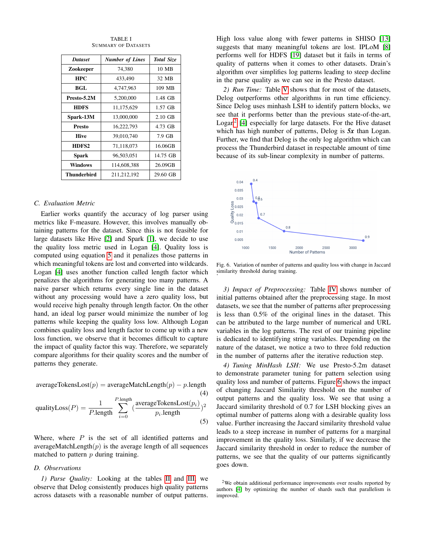<span id="page-5-0"></span>

| <b>Dataset</b>    | <b>Number of Lines</b> | <b>Total Size</b> |
|-------------------|------------------------|-------------------|
| Zookeeper         | 74,380                 | 10 MB             |
| <b>HPC</b>        | 433,490                | 32 MB             |
| BGL               | 4,747,963              | 109 MB            |
| Presto-5.2M       | 5,200,000              | 1.48 GB           |
| <b>HDFS</b>       | 11,175,629             | 1.57 GB           |
| Spark-13M         | 13,000,000             | $2.10$ GB         |
| <b>Presto</b>     | 16,222,793             | 4.73 GB           |
| <b>Hive</b>       | 39,010,740             | 7.9 GB            |
| HDFS <sub>2</sub> | 71,118,073             | 16.06GB           |
| Spark             | 96,503,051             | 14.75 GB          |
| <b>Windows</b>    | 114,608,388            | 26.09GB           |
| Thunderbird       | 211,212,192            | 29.60 GB          |

TABLE I SUMMARY OF DATASETS

# *C. Evaluation Metric*

Earlier works quantify the accuracy of log parser using metrics like F-measure. However, this involves manually obtaining patterns for the dataset. Since this is not feasible for large datasets like Hive [\[2\]](#page-9-1) and Spark [\[1\]](#page-9-0), we decide to use the quality loss metric used in Logan [\[4\]](#page-9-3). Quality loss is computed using equation [5](#page-5-1) and it penalizes those patterns in which meaningful tokens are lost and converted into wildcards. Logan [\[4\]](#page-9-3) uses another function called length factor which penalizes the algorithms for generating too many patterns. A naive parser which returns every single line in the dataset without any processing would have a zero quality loss, but would receive high penalty through length factor. On the other hand, an ideal log parser would minimize the number of log patterns while keeping the quality loss low. Although Logan combines quality loss and length factor to come up with a new loss function, we observe that it becomes difficult to capture the impact of quality factor this way. Therefore, we separately compare algorithms for their quality scores and the number of patterns they generate.

averageTokensLost(p) = averageMatchLength(p) – p.length (4)

<span id="page-5-1"></span>qualityLoss
$$
(P)
$$
 =  $\frac{1}{P.\text{length}}\sum_{i=0}^{P.\text{length}}(\frac{\text{averageTokensCost}(p_i)}{p_i.\text{length}})^2$  (5)

Where, where  $P$  is the set of all identified patterns and averageMatchLength $(p)$  is the average length of all sequences matched to pattern  $p$  during training.

## *D. Observations*

*1) Parse Quality:* Looking at the tables [II](#page-6-0) and [III,](#page-6-1) we observe that Delog consistently produces high quality patterns across datasets with a reasonable number of output patterns. High loss value along with fewer patterns in SHISO [\[13\]](#page-9-12) suggests that many meaningful tokens are lost. IPLoM [\[8\]](#page-9-7) performs well for HDFS [\[19\]](#page-9-18) dataset but it fails in terms of quality of patterns when it comes to other datasets. Drain's algorithm over simplifies log patterns leading to steep decline in the parse quality as we can see in the Presto dataset.

*2) Run Time:* Table [V](#page-7-1) shows that for most of the datasets, Delog outperforms other algorithms in run time efficiency. Since Delog uses minhash LSH to identify pattern blocks, we see that it performs better than the previous state-of-the-art, Logan<sup>[2](#page-5-2)</sup> [\[4\]](#page-9-3) especially for large datasets. For the Hive dataset which has high number of patterns, Delog is *5x* than Logan. Further, we find that Delog is the only log algorithm which can process the Thunderbird dataset in respectable amount of time because of its sub-linear complexity in number of patterns.



<span id="page-5-3"></span>Fig. 6. Variation of number of patterns and quality loss with change in Jaccard similarity threshold during training. .

*3) Impact of Preprocessing:* Table [IV](#page-6-2) shows number of initial patterns obtained after the preprocessing stage. In most datasets, we see that the number of patterns after preprocessing is less than 0.5% of the original lines in the dataset. This can be attributed to the large number of numerical and URL variables in the log patterns. The rest of our training pipeline is dedicated to identifying string variables. Depending on the nature of the dataset, we notice a two to three fold reduction in the number of patterns after the iterative reduction step.

*4) Tuning MinHash LSH:* We use Presto-5.2m dataset to demonstrate parameter tuning for pattern selection using quality loss and number of patterns. Figure [6](#page-5-3) shows the impact of changing Jaccard Similarity threshold on the number of output patterns and the quality loss. We see that using a Jaccard similarity threshold of 0.7 for LSH blocking gives an optimal number of patterns along with a desirable quality loss value. Further increasing the Jaccard similarity threshold value leads to a steep increase in number of patterns for a marginal improvement in the quality loss. Similarly, if we decrease the Jaccard similarity threshold in order to reduce the number of patterns, we see that the quality of our patterns significantly goes down.

<span id="page-5-2"></span><sup>&</sup>lt;sup>2</sup>We obtain additional performance improvements over results reported by authors [\[4\]](#page-9-3) by optimizing the number of shards such that parallelism is improved.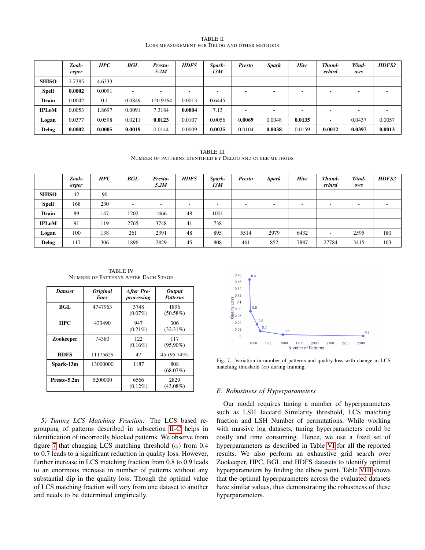| <b>TABLE II</b>                              |  |
|----------------------------------------------|--|
| LOSS MEASUREMENT FOR DELOG AND OTHER METHODS |  |

<span id="page-6-0"></span>

|              | Zook-<br>eeper | HPC    | <b>BGL</b> | Presto-<br>5.2M | <b>HDFS</b> | Spark-<br>13M            | <b>Presto</b> | <b>Spark</b> | Hive                     | Thund-<br>erbird         | Wind-<br>ows             | HDFS2  |
|--------------|----------------|--------|------------|-----------------|-------------|--------------------------|---------------|--------------|--------------------------|--------------------------|--------------------------|--------|
| <b>SHISO</b> | 2.7385         | 4.6333 | ۰          | -               |             | $\overline{\phantom{a}}$ | -             | -            | $\overline{\phantom{a}}$ | $\overline{\phantom{a}}$ | $\overline{\phantom{a}}$ |        |
| <b>Spell</b> | 0.0002         | 0.0091 | ۰          |                 |             | ۰                        | ۰             | ۰            |                          | $\overline{\phantom{a}}$ |                          |        |
| Drain        | 0.0042         | 0.1    | 0.0849     | 120.9164        | 0.0013      | 0.6445                   | ۰             |              |                          | $\overline{\phantom{a}}$ |                          |        |
| <b>IPLoM</b> | 0.0053         | 1.8697 | 0.0091     | 7.3184          | 0.0004      | 7.13                     | -             |              |                          | $\overline{\phantom{a}}$ |                          |        |
| Logan        | 0.0377         | 0.0598 | 0.0211     | 0.0123          | 0.0107      | 0.0056                   | 0.0069        | 0.0048       | 0.0135                   | $\overline{\phantom{a}}$ | 0.0437                   | 0.0057 |
| <b>Delog</b> | 0.0002         | 0.0005 | 0.0019     | 0.0144          | 0.0009      | 0.0025                   | 0.0104        | 0.0038       | 0.0159                   | 0.0012                   | 0.0397                   | 0.0013 |

TABLE III NUMBER OF PATTERNS IDENTIFIED BY DELOG AND OTHER METHODS

<span id="page-6-1"></span>

|              | Zook-<br>eeper | HPC | <b>BGL</b>               | Presto-<br>5.2M | <b>HDFS</b>              | Spark-<br>13M            | <b>Presto</b>            | <b>Spark</b> | <b>Hive</b>              | Thund-<br>erbird         | Wind-<br>ows | <b>HDFS2</b> |
|--------------|----------------|-----|--------------------------|-----------------|--------------------------|--------------------------|--------------------------|--------------|--------------------------|--------------------------|--------------|--------------|
| <b>SHISO</b> | 42             | 90  | $\overline{\phantom{a}}$ | -               | $\overline{\phantom{a}}$ | $\overline{\phantom{a}}$ | $\overline{\phantom{a}}$ | -            | $\overline{\phantom{a}}$ | $\overline{\phantom{a}}$ |              |              |
| <b>Spell</b> | 168            | 230 | $\overline{\phantom{a}}$ |                 | $\overline{\phantom{a}}$ | $\overline{\phantom{a}}$ | -                        |              | $\overline{\phantom{a}}$ | $\overline{\phantom{a}}$ |              |              |
| Drain        | 89             | 147 | 1202                     | 1466            | 48                       | 1001                     | -                        |              | $\overline{\phantom{a}}$ | $\overline{\phantom{a}}$ |              |              |
| <b>IPLoM</b> | 91             | 119 | 2765                     | 3748            | 41                       | 738                      | -                        | -            | $\overline{\phantom{a}}$ | $\overline{\phantom{a}}$ |              |              |
| Logan        | 100            | 138 | 261                      | 2391            | 48                       | 895                      | 5514                     | 2979         | 6432                     | $\overline{\phantom{a}}$ | 2595         | 180          |
| <b>Delog</b> | 117            | 306 | 1896                     | 2829            | 45                       | 808                      | 461                      | 852          | 7887                     | 27784                    | 3415         | 163          |

TABLE IV NUMBER OF PATTERNS AFTER EACH STAGE

<span id="page-6-2"></span>

| <b>Dataset</b> | <i><b>Original</b></i><br>lines | After Pre-<br>processing | <b>Output</b><br><b>Patterns</b> |
|----------------|---------------------------------|--------------------------|----------------------------------|
| <b>BGL</b>     | 4747963                         | 3748<br>$(0.07\%)$       | 1896<br>$(50.58\%)$              |
| <b>HPC</b>     | 433490                          | 947<br>$(0.21\%)$        | 306<br>$(32.31\%)$               |
| Zookeeper      | 74380                           | 122.<br>$(0.16\%)$       | 117<br>$(95.90\%)$               |
| <b>HDFS</b>    | 11175629                        | 47                       | 45 (95.74%)                      |
| Spark-13m      | 13000000                        | 1187                     | 808<br>$(68.07\%)$               |
| Presto-5.2m    | 5200000                         | 6566<br>$(0.12\%)$       | 2829<br>$(43.08\%)$              |

*5) Tuning LCS Matching Fraction:* The LCS based regrouping of patterns described in subsection [II-C](#page-1-4) helps in identification of incorrectly blocked patterns. We observe from figure [7](#page-6-3) that changing LCS matching threshold  $(\alpha)$  from 0.4 to 0.7 leads to a significant reduction in quality loss. However, further increase in LCS matching fraction from 0.8 to 0.9 leads to an enormous increase in number of patterns without any substantial dip in the quality loss. Though the optimal value of LCS matching fraction will vary from one dataset to another and needs to be determined empirically.



<span id="page-6-3"></span>Fig. 7. Variation in number of patterns and quality loss with change in LCS matching threshold  $(\alpha)$  during training.

# *E. Robustness of Hyperparameters*

Our model requires tuning a number of hyperparameters such as LSH Jaccard Similarity threshold, LCS matching fraction and LSH Number of permutations. While working with massive log datasets, tuning hyperparameters could be costly and time consuming. Hence, we use a fixed set of hyperparameters as described in Table [VI](#page-7-2) for all the reported results. We also perform an exhaustive grid search over Zookeeper, HPC, BGL and HDFS datasets to identify optimal hyperparameters by finding the elbow point. Table [VIII](#page-8-2) shows that the optimal hyperparameters across the evaluated datasets have similar values, thus demonstrating the robustness of these hyperparameters.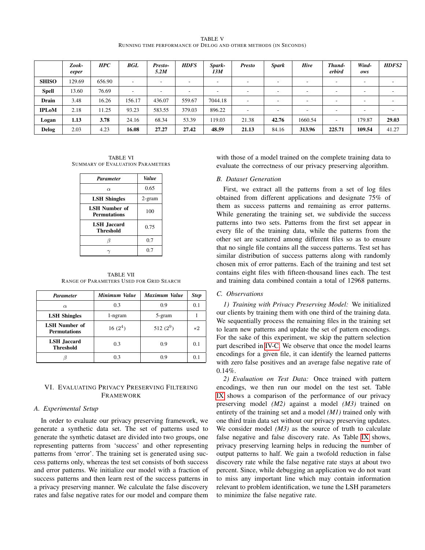| <b>TABLE V</b>                                                   |  |
|------------------------------------------------------------------|--|
| RUNNING TIME PERFORMANCE OF DELOG AND OTHER METHODS (IN SECONDS) |  |

<span id="page-7-1"></span>

|              | Zook-<br>eeper | HPC    | <b>BGL</b> | Presto-<br>5.2M | <b>HDFS</b> | Spark-<br>13M            | <b>Presto</b>            | <b>Spark</b>             | Hive    | Thund-<br>erbird | Wind-<br>ows | HDFS2                    |
|--------------|----------------|--------|------------|-----------------|-------------|--------------------------|--------------------------|--------------------------|---------|------------------|--------------|--------------------------|
| <b>SHISO</b> | 129.69         | 656.90 |            | ۰.              | ۰           | $\overline{\phantom{a}}$ | $\overline{\phantom{a}}$ | $\overline{\phantom{a}}$ | -       |                  | -            |                          |
| <b>Spell</b> | 13.60          | 76.69  |            |                 | ۰           | $\overline{\phantom{a}}$ | $\overline{\phantom{a}}$ | $\overline{\phantom{a}}$ | -       |                  | ۰            |                          |
| Drain        | 3.48           | 16.26  | 156.17     | 436.07          | 559.67      | 7044.18                  | $\overline{\phantom{a}}$ | $\overline{\phantom{a}}$ |         |                  | -            |                          |
| <b>IPLoM</b> | 2.18           | 11.25  | 93.23      | 583.55          | 379.03      | 896.22                   |                          | $\overline{\phantom{a}}$ |         |                  | -            | $\overline{\phantom{a}}$ |
| Logan        | 1.13           | 3.78   | 24.16      | 68.34           | 53.39       | 119.03                   | 21.38                    | 42.76                    | 1660.54 |                  | 179.87       | 29.03                    |
| <b>Delog</b> | 2.03           | 4.23   | 16.08      | 27.27           | 27.42       | 48.59                    | 21.13                    | 84.16                    | 313.96  | 225.71           | 109.54       | 41.27                    |

<span id="page-7-2"></span>TABLE VI SUMMARY OF EVALUATION PARAMETERS

| <b>Parameter</b>                     | Value     |
|--------------------------------------|-----------|
| $\alpha$                             | 0.65      |
| <b>LSH Shingles</b>                  | $2$ -gram |
| <b>LSH Number of</b><br>Permutations | 100       |
| <b>LSH</b> Jaccard<br>Threshold      | 0.75      |
| ß                                    | 0.7       |
|                                      | 0.7       |

TABLE VII RANGE OF PARAMETERS USED FOR GRID SEARCH

| <b>Parameter</b>                            | Minimum Value | Maximum Value | <b>Step</b> |
|---------------------------------------------|---------------|---------------|-------------|
| $\alpha$                                    | 0.3           | 0.9           | 0.1         |
| <b>LSH Shingles</b>                         | 1-ngram       | 5-gram        |             |
| <b>LSH Number of</b><br><b>Permutations</b> | $16(2^4)$     | 512 $(2^9)$   | $*2$        |
| <b>LSH</b> Jaccard<br><b>Threshold</b>      | 0.3           | 0.9           | 0.1         |
|                                             | 0.3           | 0.9           | 0.1         |

# <span id="page-7-0"></span>VI. EVALUATING PRIVACY PRESERVING FILTERING FRAMEWORK

# *A. Experimental Setup*

In order to evaluate our privacy preserving framework, we generate a synthetic data set. The set of patterns used to generate the synthetic dataset are divided into two groups, one representing patterns from 'success' and other representing patterns from 'error'. The training set is generated using success patterns only, whereas the test set consists of both success and error patterns. We initialize our model with a fraction of success patterns and then learn rest of the success patterns in a privacy preserving manner. We calculate the false discovery rates and false negative rates for our model and compare them

with those of a model trained on the complete training data to evaluate the correctness of our privacy preserving algorithm.

# *B. Dataset Generation*

First, we extract all the patterns from a set of log files obtained from different applications and designate 75% of them as success patterns and remaining as error patterns. While generating the training set, we subdivide the success patterns into two sets. Patterns from the first set appear in every file of the training data, while the patterns from the other set are scattered among different files so as to ensure that no single file contains all the success patterns. Test set has similar distribution of success patterns along with randomly chosen mix of error patterns. Each of the training and test set contains eight files with fifteen-thousand lines each. The test and training data combined contain a total of 12968 patterns.

# *C. Observations*

*1) Training with Privacy Preserving Model:* We initialized our clients by training them with one third of the training data. We sequentially process the remaining files in the training set to learn new patterns and update the set of pattern encodings. For the sake of this experiment, we skip the pattern selection part described in [IV-C.](#page-4-1) We observe that once the model learns encodings for a given file, it can identify the learned patterns with zero false positives and an average false negative rate of 0.14%.

*2) Evaluation on Test Data:* Once trained with pattern encodings, we then run our model on the test set. Table [IX](#page-8-3) shows a comparison of the performance of our privacy preserving model *(M2)* against a model *(M3)* trained on entirety of the training set and a model *(M1)* trained only with one third train data set without our privacy preserving updates. We consider model *(M3)* as the source of truth to calculate false negative and false discovery rate. As Table [IX](#page-8-3) shows, privacy preserving learning helps in reducing the number of output patterns to half. We gain a twofold reduction in false discovery rate while the false negative rate stays at about two percent. Since, while debugging an application we do not want to miss any important line which may contain information relevant to problem identification, we tune the LSH parameters to minimize the false negative rate.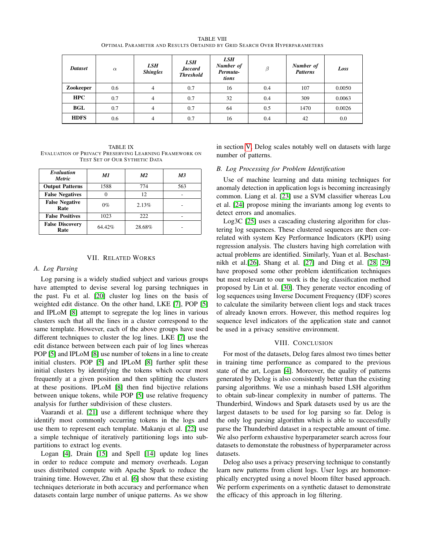TABLE VIII OPTIMAL PARAMETER AND RESULTS OBTAINED BY GRID SEARCH OVER HYPERPARAMETERS

<span id="page-8-2"></span>

| <b>Dataset</b> | $\alpha$ | <b>LSH</b><br><b>Shingles</b> | <b>LSH</b><br><b>Jaccard</b><br><b>Threshold</b> | <b>LSH</b><br>Number of<br>Permuta-<br>tions | β   | Number of<br><b>Patterns</b> | Loss   |
|----------------|----------|-------------------------------|--------------------------------------------------|----------------------------------------------|-----|------------------------------|--------|
| Zookeeper      | 0.6      | 4                             | 0.7                                              | 16                                           | 0.4 | 107                          | 0.0050 |
| <b>HPC</b>     | 0.7      | 4                             | 0.7                                              | 32                                           | 0.4 | 309                          | 0.0063 |
| BGL            | 0.7      | 4                             | 0.7                                              | 64                                           | 0.5 | 1470                         | 0.0026 |
| <b>HDFS</b>    | 0.6      | 4                             | 0.7                                              | 16                                           | 0.4 | 42                           | 0.0    |

<span id="page-8-3"></span>TABLE IX EVALUATION OF PRIVACY PRESERVING LEARNING FRAMEWORK ON TEST SET OF OUR SYTHETIC DATA

| Evaluation<br><b>Metric</b>    | M1     | M <sub>2</sub> | M <sub>3</sub> |
|--------------------------------|--------|----------------|----------------|
| <b>Output Patterns</b>         | 1588   | 774            | 563            |
| <b>False Negatives</b>         |        | 12             |                |
| <b>False Negative</b><br>Rate  | $0\%$  | 2.13%          |                |
| <b>False Positives</b>         | 1023   | 222            |                |
| <b>False Discovery</b><br>Rate | 64.42% | 28.68%         |                |

# VII. RELATED WORKS

# <span id="page-8-0"></span>*A. Log Parsing*

Log parsing is a widely studied subject and various groups have attempted to devise several log parsing techniques in the past. Fu et al. [\[20\]](#page-9-19) cluster log lines on the basis of weighted edit distance. On the other hand, LKE [\[7\]](#page-9-6), POP [\[5\]](#page-9-4) and IPLoM [\[8\]](#page-9-7) attempt to segregate the log lines in various clusters such that all the lines in a cluster correspond to the same template. However, each of the above groups have used different techniques to cluster the log lines. LKE [\[7\]](#page-9-6) use the edit distance between between each pair of log lines whereas POP [\[5\]](#page-9-4) and IPLoM [\[8\]](#page-9-7) use number of tokens in a line to create initial clusters. POP [\[5\]](#page-9-4) and IPLoM [\[8\]](#page-9-7) further split these initial clusters by identifying the tokens which occur most frequently at a given position and then splitting the clusters at these positions. IPLoM [\[8\]](#page-9-7) then find bijective relations between unique tokens, while POP [\[5\]](#page-9-4) use relative frequency analysis for further subdivision of these clusters.

Vaarandi et al. [\[21\]](#page-9-20) use a different technique where they identify most commonly occurring tokens in the logs and use them to represent each template. Makanju et al. [\[22\]](#page-9-21) use a simple technique of iteratively partitioning logs into subpartitions to extract log events.

Logan [\[4\]](#page-9-3), Drain [\[15\]](#page-9-14) and Spell [\[14\]](#page-9-13) update log lines in order to reduce compute and memory overheads. Logan uses distributed compute with Apache Spark to reduce the training time. However, Zhu et al. [\[6\]](#page-9-5) show that these existing techniques deteriorate in both accuracy and performance when datasets contain large number of unique patterns. As we show in section [V,](#page-4-0) Delog scales notably well on datasets with large number of patterns.

# *B. Log Processing for Problem Identification*

Use of machine learning and data mining techniques for anomaly detection in application logs is becoming increasingly common. Liang et al. [\[23\]](#page-9-22) use a SVM classifier whereas Lou et al. [\[24\]](#page-9-23) propose mining the invariants among log events to detect errors and anomalies.

Log3C [\[25\]](#page-9-24) uses a cascading clustering algorithm for clustering log sequences. These clustered sequences are then correlated with system Key Performance Indicators (KPI) using regression analysis. The clusters having high correlation with actual problems are identified. Similarly, Yuan et al. Beschastnikh et al.[\[26\]](#page-9-25), Shang et al. [\[27\]](#page-9-26) and Ding et al. [\[28,](#page-10-0) [29\]](#page-10-1) have proposed some other problem identification techniques but most relevant to our work is the log classification method proposed by Lin et al. [\[30\]](#page-10-2). They generate vector encoding of log sequences using Inverse Document Frequency (IDF) scores to calculate the similarity between client logs and stack traces of already known errors. However, this method requires log sequence level indicators of the application state and cannot be used in a privacy sensitive environment.

# VIII. CONCLUSION

<span id="page-8-1"></span>For most of the datasets, Delog fares almost two times better in training time performance as compared to the previous state of the art, Logan [\[4\]](#page-9-3). Moreover, the quality of patterns generated by Delog is also consistently better than the existing parsing algorithms. We use a minhash based LSH algorithm to obtain sub-linear complexity in number of patterns. The Thunderbird, Windows and Spark datasets used by us are the largest datasets to be used for log parsing so far. Delog is the only log parsing algorithm which is able to successfully parse the Thunderbird dataset in a respectable amount of time. We also perform exhaustive hyperparameter search across four datasets to demonstate the robustness of hyperparameter across datasets.

Delog also uses a privacy preserving technique to constantly learn new patterns from client logs. User logs are homomorphically encrypted using a novel bloom filter based approach. We perform experiments on a synthetic dataset to demonstrate the efficacy of this approach in log filtering.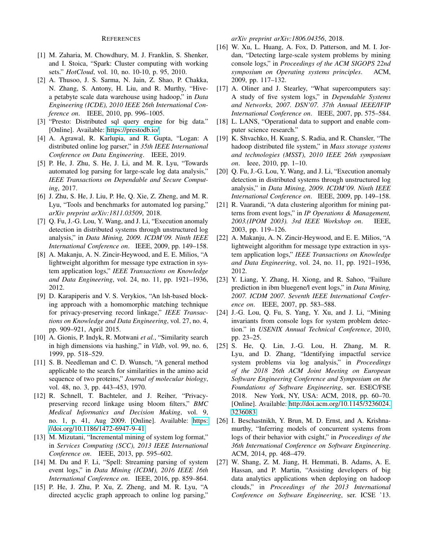# **REFERENCES**

- <span id="page-9-0"></span>[1] M. Zaharia, M. Chowdhury, M. J. Franklin, S. Shenker, and I. Stoica, "Spark: Cluster computing with working sets." *HotCloud*, vol. 10, no. 10-10, p. 95, 2010.
- <span id="page-9-1"></span>[2] A. Thusoo, J. S. Sarma, N. Jain, Z. Shao, P. Chakka, N. Zhang, S. Antony, H. Liu, and R. Murthy, "Hivea petabyte scale data warehouse using hadoop," in *Data Engineering (ICDE), 2010 IEEE 26th International Conference on*. IEEE, 2010, pp. 996–1005.
- <span id="page-9-2"></span>[3] "Presto: Distributed sql query engine for big data." [Online]. Available:<https://prestodb.io/>
- <span id="page-9-3"></span>[4] A. Agrawal, R. Karlupia, and R. Gupta, "Logan: A distributed online log parser," in *35th IEEE International Conference on Data Engineering*. IEEE, 2019.
- <span id="page-9-4"></span>[5] P. He, J. Zhu, S. He, J. Li, and M. R. Lyu, "Towards automated log parsing for large-scale log data analysis," *IEEE Transactions on Dependable and Secure Computing*, 2017.
- <span id="page-9-5"></span>[6] J. Zhu, S. He, J. Liu, P. He, Q. Xie, Z. Zheng, and M. R. Lyu, "Tools and benchmarks for automated log parsing," *arXiv preprint arXiv:1811.03509*, 2018.
- <span id="page-9-6"></span>[7] Q. Fu, J.-G. Lou, Y. Wang, and J. Li, "Execution anomaly detection in distributed systems through unstructured log analysis," in *Data Mining, 2009. ICDM'09. Ninth IEEE International Conference on*. IEEE, 2009, pp. 149–158.
- <span id="page-9-7"></span>[8] A. Makanju, A. N. Zincir-Heywood, and E. E. Milios, "A lightweight algorithm for message type extraction in system application logs," *IEEE Transactions on Knowledge and Data Engineering*, vol. 24, no. 11, pp. 1921–1936, 2012.
- <span id="page-9-8"></span>[9] D. Karapiperis and V. S. Verykios, "An lsh-based blocking approach with a homomorphic matching technique for privacy-preserving record linkage," *IEEE Transactions on Knowledge and Data Engineering*, vol. 27, no. 4, pp. 909–921, April 2015.
- <span id="page-9-9"></span>[10] A. Gionis, P. Indyk, R. Motwani *et al.*, "Similarity search in high dimensions via hashing," in *Vldb*, vol. 99, no. 6, 1999, pp. 518–529.
- <span id="page-9-10"></span>[11] S. B. Needleman and C. D. Wunsch, "A general method applicable to the search for similarities in the amino acid sequence of two proteins," *Journal of molecular biology*, vol. 48, no. 3, pp. 443–453, 1970.
- <span id="page-9-11"></span>[12] R. Schnell, T. Bachteler, and J. Reiher, "Privacypreserving record linkage using bloom filters," *BMC Medical Informatics and Decision Making*, vol. 9, no. 1, p. 41, Aug 2009. [Online]. Available: [https:](https://doi.org/10.1186/1472-6947-9-41) [//doi.org/10.1186/1472-6947-9-41](https://doi.org/10.1186/1472-6947-9-41)
- <span id="page-9-12"></span>[13] M. Mizutani, "Incremental mining of system log format," in *Services Computing (SCC), 2013 IEEE International Conference on*. IEEE, 2013, pp. 595–602.
- <span id="page-9-13"></span>[14] M. Du and F. Li, "Spell: Streaming parsing of system event logs," in *Data Mining (ICDM), 2016 IEEE 16th International Conference on*. IEEE, 2016, pp. 859–864.
- <span id="page-9-14"></span>[15] P. He, J. Zhu, P. Xu, Z. Zheng, and M. R. Lyu, "A directed acyclic graph approach to online log parsing,"

*arXiv preprint arXiv:1806.04356*, 2018.

- <span id="page-9-15"></span>[16] W. Xu, L. Huang, A. Fox, D. Patterson, and M. I. Jordan, "Detecting large-scale system problems by mining console logs," in *Proceedings of the ACM SIGOPS 22nd symposium on Operating systems principles*. ACM, 2009, pp. 117–132.
- <span id="page-9-16"></span>[17] A. Oliner and J. Stearley, "What supercomputers say: A study of five system logs," in *Dependable Systems and Networks, 2007. DSN'07. 37th Annual IEEE/IFIP International Conference on*. IEEE, 2007, pp. 575–584.
- <span id="page-9-17"></span>[18] L. LANS, "Operational data to support and enable computer science research."
- <span id="page-9-18"></span>[19] K. Shvachko, H. Kuang, S. Radia, and R. Chansler, "The hadoop distributed file system," in *Mass storage systems and technologies (MSST), 2010 IEEE 26th symposium on*. Ieee, 2010, pp. 1–10.
- <span id="page-9-19"></span>[20] Q. Fu, J.-G. Lou, Y. Wang, and J. Li, "Execution anomaly detection in distributed systems through unstructured log analysis," in *Data Mining, 2009. ICDM'09. Ninth IEEE International Conference on*. IEEE, 2009, pp. 149–158.
- <span id="page-9-20"></span>[21] R. Vaarandi, "A data clustering algorithm for mining patterns from event logs," in *IP Operations & Management, 2003.(IPOM 2003). 3rd IEEE Workshop on*. IEEE, 2003, pp. 119–126.
- <span id="page-9-21"></span>[22] A. Makanju, A. N. Zincir-Heywood, and E. E. Milios, "A lightweight algorithm for message type extraction in system application logs," *IEEE Transactions on Knowledge and Data Engineering*, vol. 24, no. 11, pp. 1921–1936, 2012.
- <span id="page-9-22"></span>[23] Y. Liang, Y. Zhang, H. Xiong, and R. Sahoo, "Failure prediction in ibm bluegene/l event logs," in *Data Mining, 2007. ICDM 2007. Seventh IEEE International Conference on*. IEEE, 2007, pp. 583–588.
- <span id="page-9-23"></span>[24] J.-G. Lou, Q. Fu, S. Yang, Y. Xu, and J. Li, "Mining invariants from console logs for system problem detection." in *USENIX Annual Technical Conference*, 2010, pp. 23–25.
- <span id="page-9-24"></span>[25] S. He, Q. Lin, J.-G. Lou, H. Zhang, M. R. Lyu, and D. Zhang, "Identifying impactful service system problems via log analysis," in *Proceedings of the 2018 26th ACM Joint Meeting on European Software Engineering Conference and Symposium on the Foundations of Software Engineering*, ser. ESEC/FSE 2018. New York, NY, USA: ACM, 2018, pp. 60–70. [Online]. Available: [http://doi.acm.org/10.1145/3236024.](http://doi.acm.org/10.1145/3236024.3236083) [3236083](http://doi.acm.org/10.1145/3236024.3236083)
- <span id="page-9-25"></span>[26] I. Beschastnikh, Y. Brun, M. D. Ernst, and A. Krishnamurthy, "Inferring models of concurrent systems from logs of their behavior with csight," in *Proceedings of the 36th International Conference on Software Engineering*. ACM, 2014, pp. 468–479.
- <span id="page-9-26"></span>[27] W. Shang, Z. M. Jiang, H. Hemmati, B. Adams, A. E. Hassan, and P. Martin, "Assisting developers of big data analytics applications when deploying on hadoop clouds," in *Proceedings of the 2013 International Conference on Software Engineering*, ser. ICSE '13.